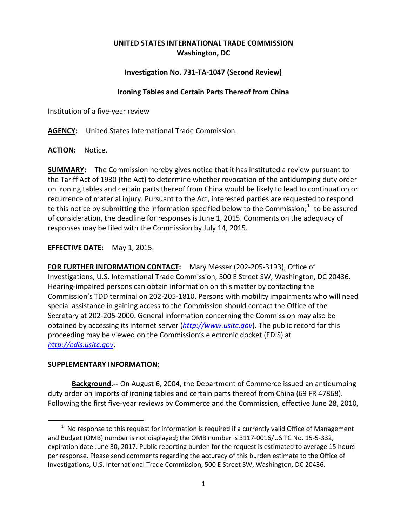## **UNITED STATES INTERNATIONAL TRADE COMMISSION Washington, DC**

### **Investigation No. 731-TA-1047 (Second Review)**

#### **Ironing Tables and Certain Parts Thereof from China**

Institution of a five-year review

**AGENCY:** United States International Trade Commission.

**ACTION:** Notice.

**SUMMARY:** The Commission hereby gives notice that it has instituted a review pursuant to the Tariff Act of 1930 (the Act) to determine whether revocation of the antidumping duty order on ironing tables and certain parts thereof from China would be likely to lead to continuation or recurrence of material injury. Pursuant to the Act, interested parties are requested to respond to this notice by submitting the information specified below to the Commission;<sup>[1](#page-0-0)</sup> to be assured of consideration, the deadline for responses is June 1, 2015. Comments on the adequacy of responses may be filed with the Commission by July 14, 2015.

**EFFECTIVE DATE:** May 1, 2015.

**FOR FURTHER INFORMATION CONTACT:** Mary Messer (202-205-3193), Office of Investigations, U.S. International Trade Commission, 500 E Street SW, Washington, DC 20436. Hearing-impaired persons can obtain information on this matter by contacting the Commission's TDD terminal on 202-205-1810. Persons with mobility impairments who will need special assistance in gaining access to the Commission should contact the Office of the Secretary at 202-205-2000. General information concerning the Commission may also be obtained by accessing its internet server (*[http://www.usitc.gov](http://www.usitc.gov/)*). The public record for this proceeding may be viewed on the Commission's electronic docket (EDIS) at *[http://edis.usitc.gov](http://edis.usitc.gov/)*.

#### **SUPPLEMENTARY INFORMATION:**

 $\overline{a}$ 

**Background.--** On August 6, 2004, the Department of Commerce issued an antidumping duty order on imports of ironing tables and certain parts thereof from China (69 FR 47868). Following the first five-year reviews by Commerce and the Commission, effective June 28, 2010,

<span id="page-0-0"></span> $1$  No response to this request for information is required if a currently valid Office of Management and Budget (OMB) number is not displayed; the OMB number is 3117-0016/USITC No. 15-5-332, expiration date June 30, 2017. Public reporting burden for the request is estimated to average 15 hours per response. Please send comments regarding the accuracy of this burden estimate to the Office of Investigations, U.S. International Trade Commission, 500 E Street SW, Washington, DC 20436.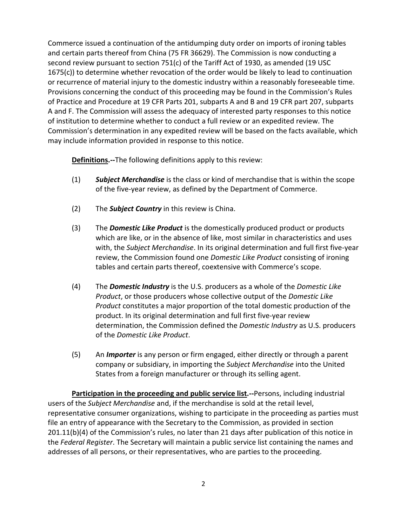Commerce issued a continuation of the antidumping duty order on imports of ironing tables and certain parts thereof from China (75 FR 36629). The Commission is now conducting a second review pursuant to section 751(c) of the Tariff Act of 1930, as amended (19 USC 1675(c)) to determine whether revocation of the order would be likely to lead to continuation or recurrence of material injury to the domestic industry within a reasonably foreseeable time. Provisions concerning the conduct of this proceeding may be found in the Commission's Rules of Practice and Procedure at 19 CFR Parts 201, subparts A and B and 19 CFR part 207, subparts A and F. The Commission will assess the adequacy of interested party responses to this notice of institution to determine whether to conduct a full review or an expedited review. The Commission's determination in any expedited review will be based on the facts available, which may include information provided in response to this notice.

**Definitions.--**The following definitions apply to this review:

- (1) *Subject Merchandise* is the class or kind of merchandise that is within the scope of the five-year review, as defined by the Department of Commerce.
- (2) The *Subject Country* in this review is China.
- (3) The *Domestic Like Product* is the domestically produced product or products which are like, or in the absence of like, most similar in characteristics and uses with, the *Subject Merchandise*. In its original determination and full first five-year review, the Commission found one *Domestic Like Product* consisting of ironing tables and certain parts thereof, coextensive with Commerce's scope.
- (4) The *Domestic Industry* is the U.S. producers as a whole of the *Domestic Like Product*, or those producers whose collective output of the *Domestic Like Product* constitutes a major proportion of the total domestic production of the product. In its original determination and full first five-year review determination, the Commission defined the *Domestic Industry* as U.S. producers of the *Domestic Like Product*.
- (5) An *Importer* is any person or firm engaged, either directly or through a parent company or subsidiary, in importing the *Subject Merchandise* into the United States from a foreign manufacturer or through its selling agent.

**Participation in the proceeding and public service list.--**Persons, including industrial users of the *Subject Merchandise* and, if the merchandise is sold at the retail level, representative consumer organizations, wishing to participate in the proceeding as parties must file an entry of appearance with the Secretary to the Commission, as provided in section 201.11(b)(4) of the Commission's rules, no later than 21 days after publication of this notice in the *Federal Register*. The Secretary will maintain a public service list containing the names and addresses of all persons, or their representatives, who are parties to the proceeding.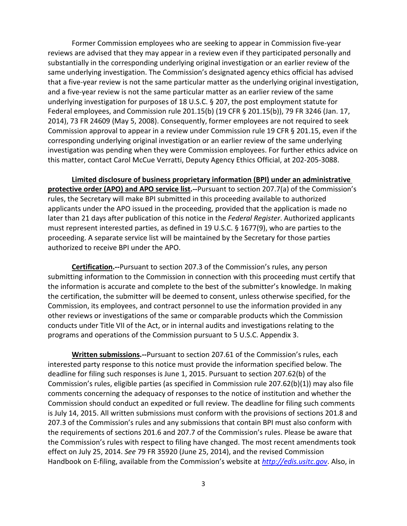Former Commission employees who are seeking to appear in Commission five-year reviews are advised that they may appear in a review even if they participated personally and substantially in the corresponding underlying original investigation or an earlier review of the same underlying investigation. The Commission's designated agency ethics official has advised that a five-year review is not the same particular matter as the underlying original investigation, and a five-year review is not the same particular matter as an earlier review of the same underlying investigation for purposes of 18 U.S.C. § 207, the post employment statute for Federal employees, and Commission rule 201.15(b) (19 CFR § 201.15(b)), 79 FR 3246 (Jan. 17, 2014), 73 FR 24609 (May 5, 2008). Consequently, former employees are not required to seek Commission approval to appear in a review under Commission rule 19 CFR § 201.15, even if the corresponding underlying original investigation or an earlier review of the same underlying investigation was pending when they were Commission employees. For further ethics advice on this matter, contact Carol McCue Verratti, Deputy Agency Ethics Official, at 202-205-3088.

**Limited disclosure of business proprietary information (BPI) under an administrative protective order (APO) and APO service list.--**Pursuant to section 207.7(a) of the Commission's rules, the Secretary will make BPI submitted in this proceeding available to authorized applicants under the APO issued in the proceeding, provided that the application is made no later than 21 days after publication of this notice in the *Federal Register*. Authorized applicants must represent interested parties, as defined in 19 U.S.C. § 1677(9), who are parties to the proceeding. A separate service list will be maintained by the Secretary for those parties authorized to receive BPI under the APO.

**Certification.--**Pursuant to section 207.3 of the Commission's rules, any person submitting information to the Commission in connection with this proceeding must certify that the information is accurate and complete to the best of the submitter's knowledge. In making the certification, the submitter will be deemed to consent, unless otherwise specified, for the Commission, its employees, and contract personnel to use the information provided in any other reviews or investigations of the same or comparable products which the Commission conducts under Title VII of the Act, or in internal audits and investigations relating to the programs and operations of the Commission pursuant to 5 U.S.C. Appendix 3.

**Written submissions.--**Pursuant to section 207.61 of the Commission's rules, each interested party response to this notice must provide the information specified below. The deadline for filing such responses is June 1, 2015. Pursuant to section 207.62(b) of the Commission's rules, eligible parties (as specified in Commission rule 207.62(b)(1)) may also file comments concerning the adequacy of responses to the notice of institution and whether the Commission should conduct an expedited or full review. The deadline for filing such comments is July 14, 2015. All written submissions must conform with the provisions of sections 201.8 and 207.3 of the Commission's rules and any submissions that contain BPI must also conform with the requirements of sections 201.6 and 207.7 of the Commission's rules. Please be aware that the Commission's rules with respect to filing have changed. The most recent amendments took effect on July 25, 2014. *See* 79 FR 35920 (June 25, 2014), and the revised Commission Handbook on E-filing, available from the Commission's website at *[http://edis.usitc.gov](http://edis.usitc.gov/)*. Also, in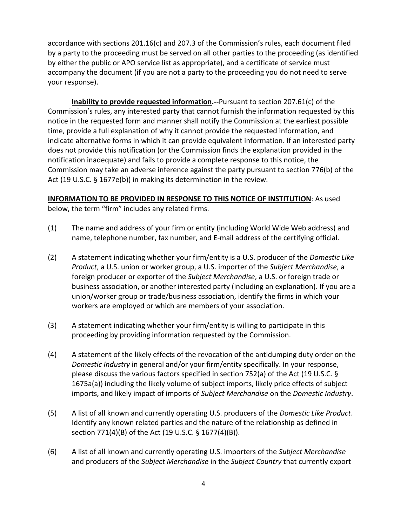accordance with sections 201.16(c) and 207.3 of the Commission's rules, each document filed by a party to the proceeding must be served on all other parties to the proceeding (as identified by either the public or APO service list as appropriate), and a certificate of service must accompany the document (if you are not a party to the proceeding you do not need to serve your response).

**Inability to provide requested information.--**Pursuant to section 207.61(c) of the Commission's rules, any interested party that cannot furnish the information requested by this notice in the requested form and manner shall notify the Commission at the earliest possible time, provide a full explanation of why it cannot provide the requested information, and indicate alternative forms in which it can provide equivalent information. If an interested party does not provide this notification (or the Commission finds the explanation provided in the notification inadequate) and fails to provide a complete response to this notice, the Commission may take an adverse inference against the party pursuant to section 776(b) of the Act (19 U.S.C. § 1677e(b)) in making its determination in the review.

# **INFORMATION TO BE PROVIDED IN RESPONSE TO THIS NOTICE OF INSTITUTION**: As used

below, the term "firm" includes any related firms.

- (1) The name and address of your firm or entity (including World Wide Web address) and name, telephone number, fax number, and E-mail address of the certifying official.
- (2) A statement indicating whether your firm/entity is a U.S. producer of the *Domestic Like Product*, a U.S. union or worker group, a U.S. importer of the *Subject Merchandise*, a foreign producer or exporter of the *Subject Merchandise*, a U.S. or foreign trade or business association, or another interested party (including an explanation). If you are a union/worker group or trade/business association, identify the firms in which your workers are employed or which are members of your association.
- (3) A statement indicating whether your firm/entity is willing to participate in this proceeding by providing information requested by the Commission.
- (4) A statement of the likely effects of the revocation of the antidumping duty order on the *Domestic Industry* in general and/or your firm/entity specifically. In your response, please discuss the various factors specified in section 752(a) of the Act (19 U.S.C. § 1675a(a)) including the likely volume of subject imports, likely price effects of subject imports, and likely impact of imports of *Subject Merchandise* on the *Domestic Industry*.
- (5) A list of all known and currently operating U.S. producers of the *Domestic Like Product*. Identify any known related parties and the nature of the relationship as defined in section 771(4)(B) of the Act (19 U.S.C. § 1677(4)(B)).
- (6) A list of all known and currently operating U.S. importers of the *Subject Merchandise* and producers of the *Subject Merchandise* in the *Subject Country* that currently export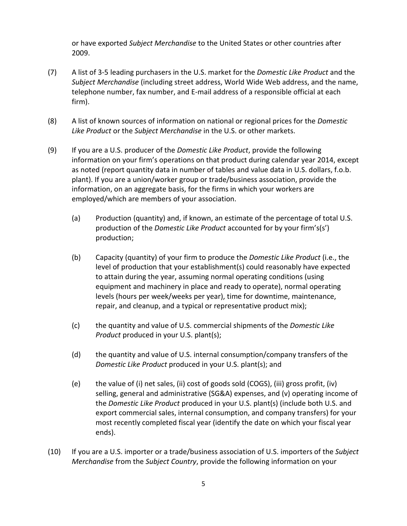or have exported *Subject Merchandise* to the United States or other countries after 2009.

- (7) A list of 3-5 leading purchasers in the U.S. market for the *Domestic Like Product* and the *Subject Merchandise* (including street address, World Wide Web address, and the name, telephone number, fax number, and E-mail address of a responsible official at each firm).
- (8) A list of known sources of information on national or regional prices for the *Domestic Like Product* or the *Subject Merchandise* in the U.S. or other markets.
- (9) If you are a U.S. producer of the *Domestic Like Product*, provide the following information on your firm's operations on that product during calendar year 2014, except as noted (report quantity data in number of tables and value data in U.S. dollars, f.o.b. plant). If you are a union/worker group or trade/business association, provide the information, on an aggregate basis, for the firms in which your workers are employed/which are members of your association.
	- (a) Production (quantity) and, if known, an estimate of the percentage of total U.S. production of the *Domestic Like Product* accounted for by your firm's(s') production;
	- (b) Capacity (quantity) of your firm to produce the *Domestic Like Product* (i.e., the level of production that your establishment(s) could reasonably have expected to attain during the year, assuming normal operating conditions (using equipment and machinery in place and ready to operate), normal operating levels (hours per week/weeks per year), time for downtime, maintenance, repair, and cleanup, and a typical or representative product mix);
	- (c) the quantity and value of U.S. commercial shipments of the *Domestic Like Product* produced in your U.S. plant(s);
	- (d) the quantity and value of U.S. internal consumption/company transfers of the *Domestic Like Product* produced in your U.S. plant(s); and
	- (e) the value of (i) net sales, (ii) cost of goods sold (COGS), (iii) gross profit, (iv) selling, general and administrative (SG&A) expenses, and (v) operating income of the *Domestic Like Product* produced in your U.S. plant(s) (include both U.S. and export commercial sales, internal consumption, and company transfers) for your most recently completed fiscal year (identify the date on which your fiscal year ends).
- (10) If you are a U.S. importer or a trade/business association of U.S. importers of the *Subject Merchandise* from the *Subject Country*, provide the following information on your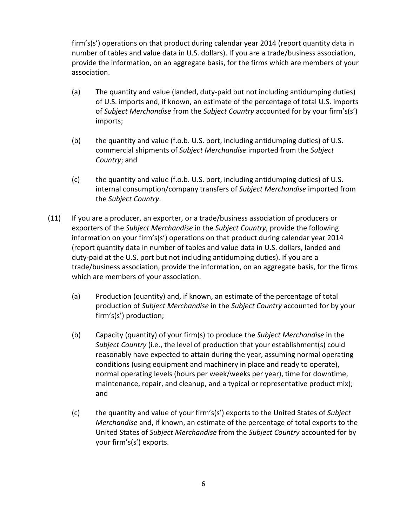firm's(s') operations on that product during calendar year 2014 (report quantity data in number of tables and value data in U.S. dollars). If you are a trade/business association, provide the information, on an aggregate basis, for the firms which are members of your association.

- (a) The quantity and value (landed, duty-paid but not including antidumping duties) of U.S. imports and, if known, an estimate of the percentage of total U.S. imports of *Subject Merchandise* from the *Subject Country* accounted for by your firm's(s') imports;
- (b) the quantity and value (f.o.b. U.S. port, including antidumping duties) of U.S. commercial shipments of *Subject Merchandise* imported from the *Subject Country*; and
- (c) the quantity and value (f.o.b. U.S. port, including antidumping duties) of U.S. internal consumption/company transfers of *Subject Merchandise* imported from the *Subject Country*.
- (11) If you are a producer, an exporter, or a trade/business association of producers or exporters of the *Subject Merchandise* in the *Subject Country*, provide the following information on your firm's(s') operations on that product during calendar year 2014 (report quantity data in number of tables and value data in U.S. dollars, landed and duty-paid at the U.S. port but not including antidumping duties). If you are a trade/business association, provide the information, on an aggregate basis, for the firms which are members of your association.
	- (a) Production (quantity) and, if known, an estimate of the percentage of total production of *Subject Merchandise* in the *Subject Country* accounted for by your firm's(s') production;
	- (b) Capacity (quantity) of your firm(s) to produce the *Subject Merchandise* in the *Subject Country* (i.e., the level of production that your establishment(s) could reasonably have expected to attain during the year, assuming normal operating conditions (using equipment and machinery in place and ready to operate), normal operating levels (hours per week/weeks per year), time for downtime, maintenance, repair, and cleanup, and a typical or representative product mix); and
	- (c) the quantity and value of your firm's(s') exports to the United States of *Subject Merchandise* and, if known, an estimate of the percentage of total exports to the United States of *Subject Merchandise* from the *Subject Country* accounted for by your firm's(s') exports.